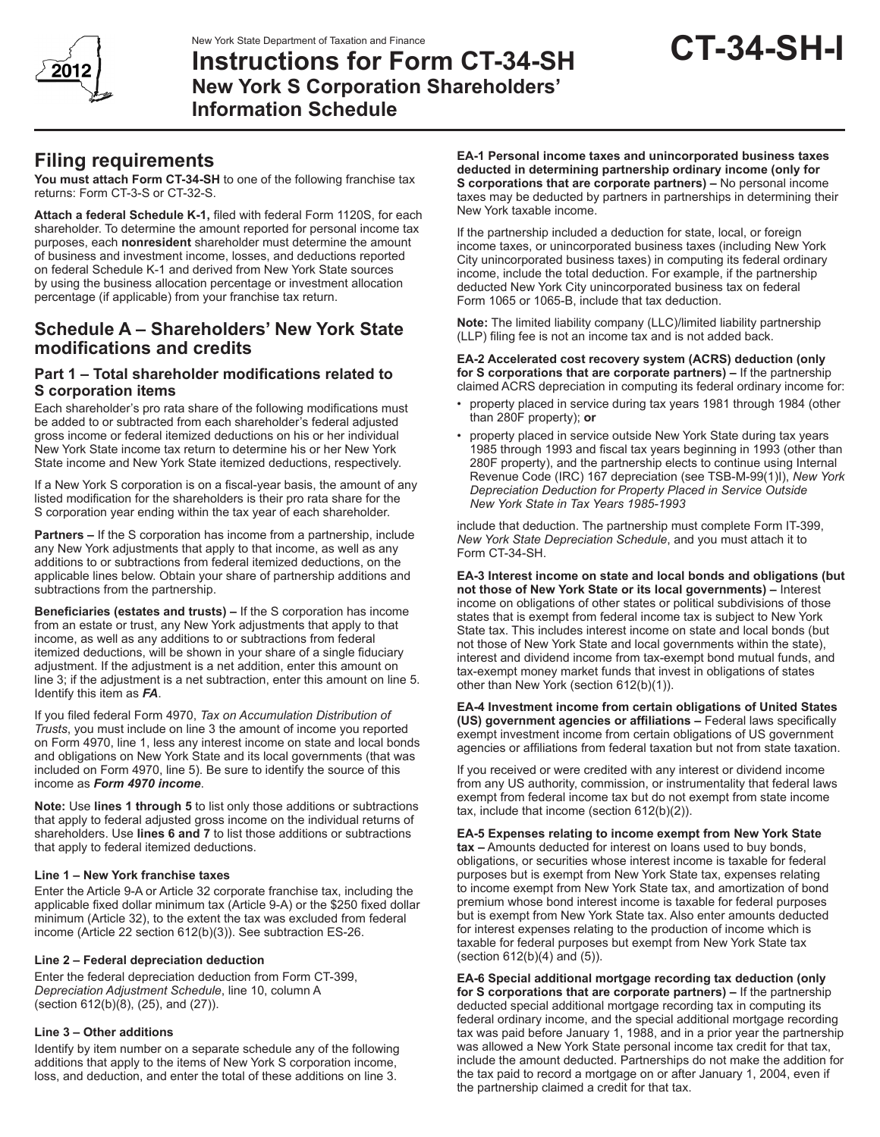





# **Instructions for Form CT-34-SH New York S Corporation Shareholders' Information Schedule**

# **Filing requirements**

**You must attach Form CT-34-SH** to one of the following franchise tax returns: Form CT-3-S or CT-32-S.

**Attach a federal Schedule K-1,** filed with federal Form 1120S, for each shareholder. To determine the amount reported for personal income tax purposes, each **nonresident** shareholder must determine the amount of business and investment income, losses, and deductions reported on federal Schedule K-1 and derived from New York State sources by using the business allocation percentage or investment allocation percentage (if applicable) from your franchise tax return.

# **Schedule A – Shareholders' New York State modifications and credits**

## **Part 1 – Total shareholder modifications related to S corporation items**

Each shareholder's pro rata share of the following modifications must be added to or subtracted from each shareholder's federal adjusted gross income or federal itemized deductions on his or her individual New York State income tax return to determine his or her New York State income and New York State itemized deductions, respectively.

If a New York S corporation is on a fiscal-year basis, the amount of any listed modification for the shareholders is their pro rata share for the S corporation year ending within the tax year of each shareholder.

**Partners –** If the S corporation has income from a partnership, include any New York adjustments that apply to that income, as well as any additions to or subtractions from federal itemized deductions, on the applicable lines below. Obtain your share of partnership additions and subtractions from the partnership.

**Beneficiaries (estates and trusts) –** If the S corporation has income from an estate or trust, any New York adjustments that apply to that income, as well as any additions to or subtractions from federal itemized deductions, will be shown in your share of a single fiduciary adjustment. If the adjustment is a net addition, enter this amount on line 3; if the adjustment is a net subtraction, enter this amount on line 5. Identify this item as *FA*.

If you filed federal Form 4970, *Tax on Accumulation Distribution of Trusts*, you must include on line 3 the amount of income you reported on Form 4970, line 1, less any interest income on state and local bonds and obligations on New York State and its local governments (that was included on Form 4970, line 5). Be sure to identify the source of this income as *Form 4970 income*.

**Note:** Use **lines 1 through 5** to list only those additions or subtractions that apply to federal adjusted gross income on the individual returns of shareholders. Use **lines 6 and 7** to list those additions or subtractions that apply to federal itemized deductions.

### **Line 1 – New York franchise taxes**

Enter the Article 9-A or Article 32 corporate franchise tax, including the applicable fixed dollar minimum tax (Article 9‑A) or the \$250 fixed dollar minimum (Article 32), to the extent the tax was excluded from federal income (Article 22 section 612(b)(3)). See subtraction ES-26.

### **Line 2 – Federal depreciation deduction**

Enter the federal depreciation deduction from Form CT-399, *Depreciation Adjustment Schedule*, line 10, column A (section 612(b)(8), (25), and (27)).

## **Line 3 – Other additions**

Identify by item number on a separate schedule any of the following additions that apply to the items of New York S corporation income, loss, and deduction, and enter the total of these additions on line 3.

**EA-1 Personal income taxes and unincorporated business taxes deducted in determining partnership ordinary income (only for S corporations that are corporate partners) –** No personal income taxes may be deducted by partners in partnerships in determining their New York taxable income.

If the partnership included a deduction for state, local, or foreign income taxes, or unincorporated business taxes (including New York City unincorporated business taxes) in computing its federal ordinary income, include the total deduction. For example, if the partnership deducted New York City unincorporated business tax on federal Form 1065 or 1065-B, include that tax deduction.

**Note:** The limited liability company (LLC)/limited liability partnership (LLP) filing fee is not an income tax and is not added back.

**EA-2 Accelerated cost recovery system (ACRS) deduction (only for S corporations that are corporate partners) –** If the partnership claimed ACRS depreciation in computing its federal ordinary income for:

- property placed in service during tax years 1981 through 1984 (other than 280F property); **or**
- property placed in service outside New York State during tax years 1985 through 1993 and fiscal tax years beginning in 1993 (other than 280F property), and the partnership elects to continue using Internal Revenue Code (IRC) 167 depreciation (see TSB-M-99(1)I), *New York Depreciation Deduction for Property Placed in Service Outside New York State in Tax Years 1985-1993*

include that deduction. The partnership must complete Form IT-399, *New York State Depreciation Schedule*, and you must attach it to Form CT-34-SH.

**EA-3 Interest income on state and local bonds and obligations (but not those of New York State or its local governments) –** Interest income on obligations of other states or political subdivisions of those states that is exempt from federal income tax is subject to New York State tax. This includes interest income on state and local bonds (but not those of New York State and local governments within the state), interest and dividend income from tax-exempt bond mutual funds, and tax-exempt money market funds that invest in obligations of states other than New York (section 612(b)(1)).

**EA-4 Investment income from certain obligations of United States (US) government agencies or affiliations –** Federal laws specifically exempt investment income from certain obligations of US government agencies or affiliations from federal taxation but not from state taxation.

If you received or were credited with any interest or dividend income from any US authority, commission, or instrumentality that federal laws exempt from federal income tax but do not exempt from state income tax, include that income (section 612(b)(2)).

**EA-5 Expenses relating to income exempt from New York State tax –** Amounts deducted for interest on loans used to buy bonds, obligations, or securities whose interest income is taxable for federal purposes but is exempt from New York State tax, expenses relating to income exempt from New York State tax, and amortization of bond premium whose bond interest income is taxable for federal purposes but is exempt from New York State tax. Also enter amounts deducted for interest expenses relating to the production of income which is taxable for federal purposes but exempt from New York State tax (section 612(b)(4) and (5)).

**EA-6 Special additional mortgage recording tax deduction (only for S corporations that are corporate partners) –** If the partnership deducted special additional mortgage recording tax in computing its federal ordinary income, and the special additional mortgage recording tax was paid before January 1, 1988, and in a prior year the partnership was allowed a New York State personal income tax credit for that tax, include the amount deducted. Partnerships do not make the addition for the tax paid to record a mortgage on or after January 1, 2004, even if the partnership claimed a credit for that tax.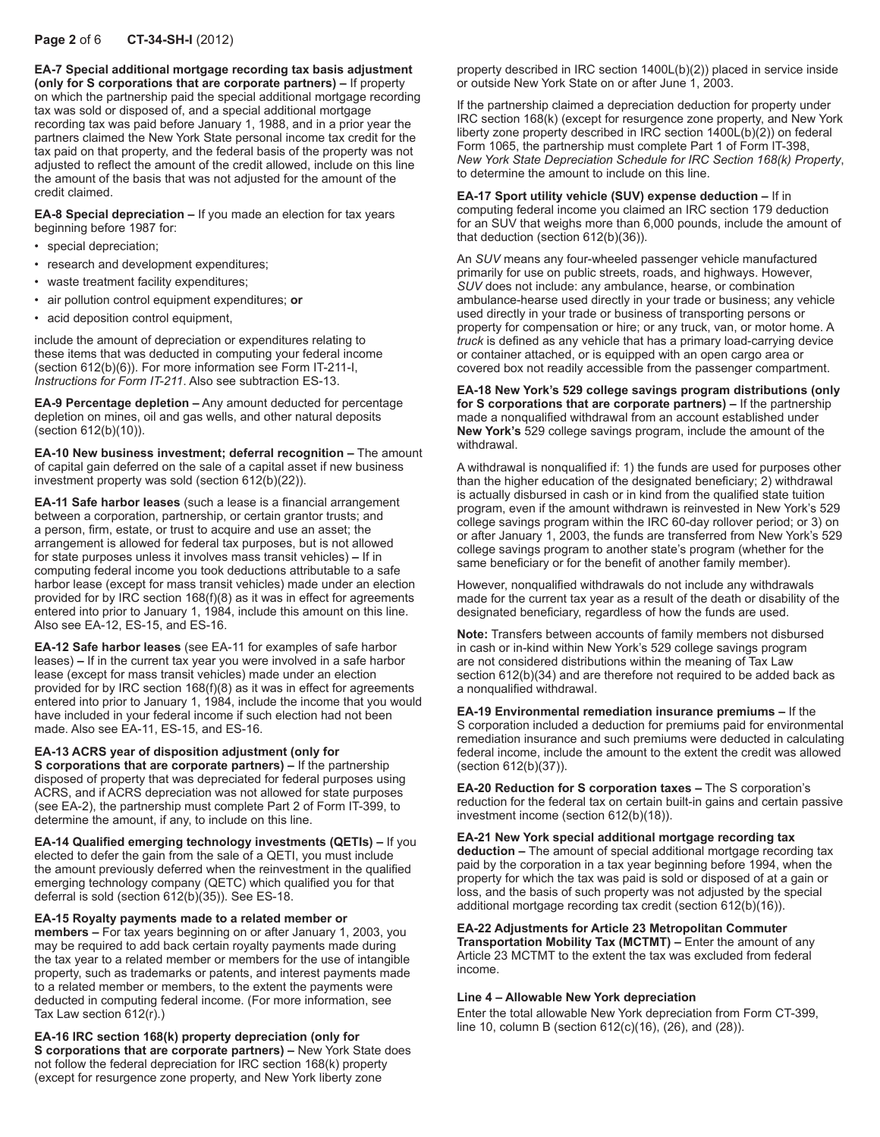## **Page 2** of 6 **CT-34-SH-I** (2012)

**EA-7 Special additional mortgage recording tax basis adjustment (only for S corporations that are corporate partners) –** If property on which the partnership paid the special additional mortgage recording tax was sold or disposed of, and a special additional mortgage recording tax was paid before January 1, 1988, and in a prior year the partners claimed the New York State personal income tax credit for the tax paid on that property, and the federal basis of the property was not adjusted to reflect the amount of the credit allowed, include on this line the amount of the basis that was not adjusted for the amount of the credit claimed.

**EA-8 Special depreciation –** If you made an election for tax years beginning before 1987 for:

- special depreciation;
- research and development expenditures;
- waste treatment facility expenditures;
- air pollution control equipment expenditures; **or**
- acid deposition control equipment,

include the amount of depreciation or expenditures relating to these items that was deducted in computing your federal income (section 612(b)(6)). For more information see Form IT-211-I, *Instructions for Form IT-211*. Also see subtraction ES-13.

**EA-9 Percentage depletion –** Any amount deducted for percentage depletion on mines, oil and gas wells, and other natural deposits (section 612(b)(10)).

**EA-10 New business investment; deferral recognition –** The amount of capital gain deferred on the sale of a capital asset if new business investment property was sold (section 612(b)(22)).

**EA-11 Safe harbor leases** (such a lease is a financial arrangement between a corporation, partnership, or certain grantor trusts; and a person, firm, estate, or trust to acquire and use an asset; the arrangement is allowed for federal tax purposes, but is not allowed for state purposes unless it involves mass transit vehicles) **–** If in computing federal income you took deductions attributable to a safe harbor lease (except for mass transit vehicles) made under an election provided for by IRC section 168(f)(8) as it was in effect for agreements entered into prior to January 1, 1984, include this amount on this line. Also see EA-12, ES-15, and ES-16.

**EA-12 Safe harbor leases** (see EA-11 for examples of safe harbor leases) **–** If in the current tax year you were involved in a safe harbor lease (except for mass transit vehicles) made under an election provided for by IRC section 168(f)(8) as it was in effect for agreements entered into prior to January 1, 1984, include the income that you would have included in your federal income if such election had not been made. Also see EA-11, ES-15, and ES-16.

#### **EA-13 ACRS year of disposition adjustment (only for**

**S corporations that are corporate partners) –** If the partnership disposed of property that was depreciated for federal purposes using ACRS, and if ACRS depreciation was not allowed for state purposes (see EA-2), the partnership must complete Part 2 of Form IT-399, to determine the amount, if any, to include on this line.

**EA-14 Qualified emerging technology investments (QETIs) –** If you elected to defer the gain from the sale of a QETI, you must include the amount previously deferred when the reinvestment in the qualified emerging technology company (QETC) which qualified you for that deferral is sold (section 612(b)(35)). See ES-18.

#### **EA-15 Royalty payments made to a related member or**

**members –** For tax years beginning on or after January 1, 2003, you may be required to add back certain royalty payments made during the tax year to a related member or members for the use of intangible property, such as trademarks or patents, and interest payments made to a related member or members, to the extent the payments were deducted in computing federal income. (For more information, see Tax Law section 612(r).)

**EA-16 IRC section 168(k) property depreciation (only for S corporations that are corporate partners) –** New York State does not follow the federal depreciation for IRC section 168(k) property (except for resurgence zone property, and New York liberty zone

property described in IRC section 1400L(b)(2)) placed in service inside or outside New York State on or after June 1, 2003.

If the partnership claimed a depreciation deduction for property under IRC section 168(k) (except for resurgence zone property, and New York liberty zone property described in IRC section 1400L(b)(2)) on federal Form 1065, the partnership must complete Part 1 of Form IT-398, *New York State Depreciation Schedule for IRC Section 168(k) Property*, to determine the amount to include on this line.

#### **EA-17 Sport utility vehicle (SUV) expense deduction –** If in

computing federal income you claimed an IRC section 179 deduction for an SUV that weighs more than 6,000 pounds, include the amount of that deduction (section 612(b)(36)).

An *SUV* means any four-wheeled passenger vehicle manufactured primarily for use on public streets, roads, and highways. However, *SUV* does not include: any ambulance, hearse, or combination ambulance-hearse used directly in your trade or business; any vehicle used directly in your trade or business of transporting persons or property for compensation or hire; or any truck, van, or motor home. A *truck* is defined as any vehicle that has a primary load-carrying device or container attached, or is equipped with an open cargo area or covered box not readily accessible from the passenger compartment.

#### **EA-18 New York's 529 college savings program distributions (only for S corporations that are corporate partners) –** If the partnership made a nonqualified withdrawal from an account established under **New York's** 529 college savings program, include the amount of the withdrawal.

A withdrawal is nonqualified if: 1) the funds are used for purposes other than the higher education of the designated beneficiary; 2) withdrawal is actually disbursed in cash or in kind from the qualified state tuition program, even if the amount withdrawn is reinvested in New York's 529 college savings program within the IRC 60-day rollover period; or 3) on or after January 1, 2003, the funds are transferred from New York's 529 college savings program to another state's program (whether for the same beneficiary or for the benefit of another family member).

However, nonqualified withdrawals do not include any withdrawals made for the current tax year as a result of the death or disability of the designated beneficiary, regardless of how the funds are used.

**Note:** Transfers between accounts of family members not disbursed in cash or in-kind within New York's 529 college savings program are not considered distributions within the meaning of Tax Law section 612(b)(34) and are therefore not required to be added back as a nonqualified withdrawal.

**EA-19 Environmental remediation insurance premiums –** If the S corporation included a deduction for premiums paid for environmental remediation insurance and such premiums were deducted in calculating federal income, include the amount to the extent the credit was allowed (section 612(b)(37)).

**EA-20 Reduction for S corporation taxes –** The S corporation's reduction for the federal tax on certain built-in gains and certain passive investment income (section 612(b)(18)).

**EA-21 New York special additional mortgage recording tax deduction –** The amount of special additional mortgage recording tax paid by the corporation in a tax year beginning before 1994, when the property for which the tax was paid is sold or disposed of at a gain or loss, and the basis of such property was not adjusted by the special

**EA-22 Adjustments for Article 23 Metropolitan Commuter Transportation Mobility Tax (MCTMT) –** Enter the amount of any Article 23 MCTMT to the extent the tax was excluded from federal income.

additional mortgage recording tax credit (section 612(b)(16)).

#### **Line 4 – Allowable New York depreciation**

Enter the total allowable New York depreciation from Form CT‑399, line 10, column B (section 612(c)(16), (26), and (28)).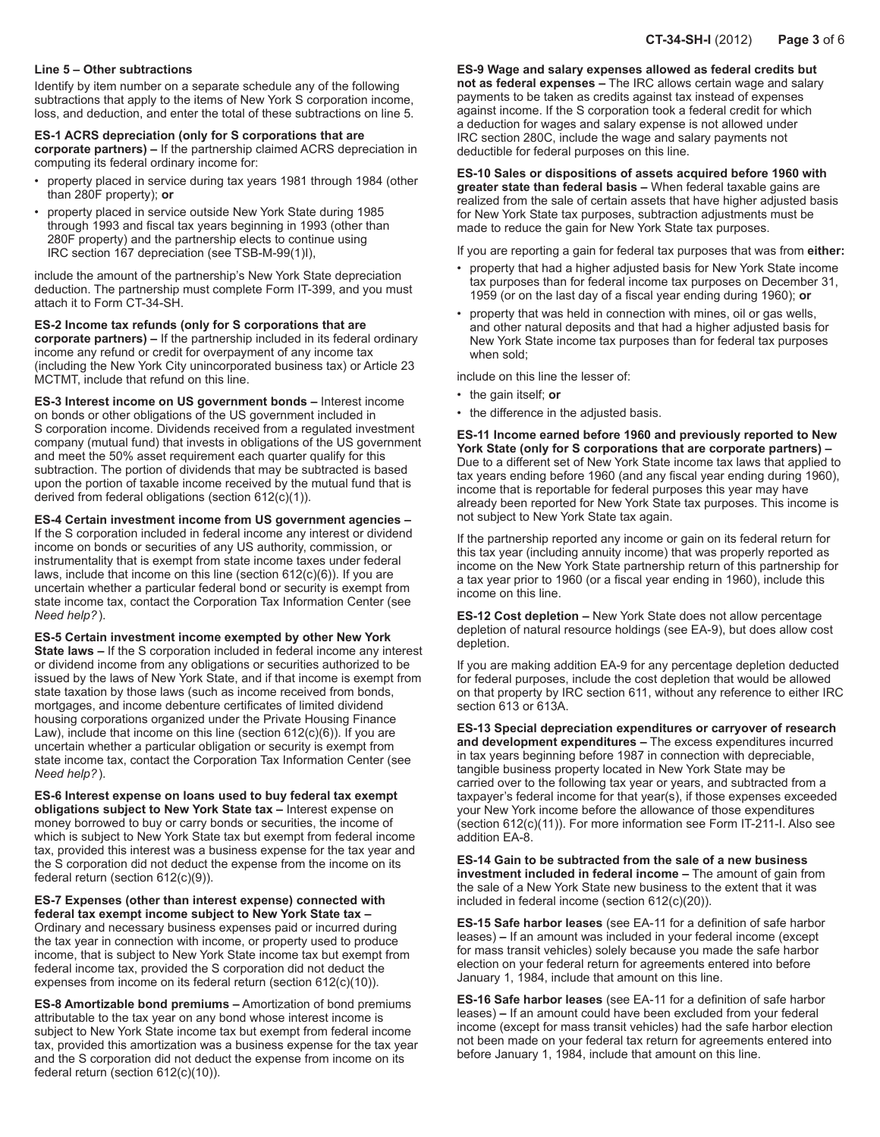#### **Line 5 – Other subtractions**

Identify by item number on a separate schedule any of the following subtractions that apply to the items of New York S corporation income, loss, and deduction, and enter the total of these subtractions on line 5.

## **ES-1 ACRS depreciation (only for S corporations that are**

**corporate partners) –** If the partnership claimed ACRS depreciation in computing its federal ordinary income for:

- property placed in service during tax years 1981 through 1984 (other than 280F property); **or**
- property placed in service outside New York State during 1985 through 1993 and fiscal tax years beginning in 1993 (other than 280F property) and the partnership elects to continue using IRC section 167 depreciation (see TSB-M-99(1)I),

include the amount of the partnership's New York State depreciation deduction. The partnership must complete Form IT-399, and you must attach it to Form CT-34-SH.

#### **ES-2 Income tax refunds (only for S corporations that are**

**corporate partners) –** If the partnership included in its federal ordinary income any refund or credit for overpayment of any income tax (including the New York City unincorporated business tax) or Article 23 MCTMT, include that refund on this line.

**ES-3 Interest income on US government bonds –** Interest income on bonds or other obligations of the US government included in S corporation income. Dividends received from a regulated investment company (mutual fund) that invests in obligations of the US government and meet the 50% asset requirement each quarter qualify for this subtraction. The portion of dividends that may be subtracted is based upon the portion of taxable income received by the mutual fund that is derived from federal obligations (section 612(c)(1)).

**ES-4 Certain investment income from US government agencies –**  If the S corporation included in federal income any interest or dividend income on bonds or securities of any US authority, commission, or instrumentality that is exempt from state income taxes under federal laws, include that income on this line (section 612(c)(6)). If you are uncertain whether a particular federal bond or security is exempt from state income tax, contact the Corporation Tax Information Center (see *Need help?*).

**ES-5 Certain investment income exempted by other New York State laws –** If the S corporation included in federal income any interest or dividend income from any obligations or securities authorized to be issued by the laws of New York State, and if that income is exempt from state taxation by those laws (such as income received from bonds, mortgages, and income debenture certificates of limited dividend housing corporations organized under the Private Housing Finance Law), include that income on this line (section  $612(c)(6)$ ). If you are uncertain whether a particular obligation or security is exempt from state income tax, contact the Corporation Tax Information Center (see *Need help?*).

**ES-6 Interest expense on loans used to buy federal tax exempt obligations subject to New York State tax –** Interest expense on money borrowed to buy or carry bonds or securities, the income of which is subject to New York State tax but exempt from federal income tax, provided this interest was a business expense for the tax year and the S corporation did not deduct the expense from the income on its federal return (section 612(c)(9)).

**ES-7 Expenses (other than interest expense) connected with federal tax exempt income subject to New York State tax –** Ordinary and necessary business expenses paid or incurred during the tax year in connection with income, or property used to produce income, that is subject to New York State income tax but exempt from federal income tax, provided the S corporation did not deduct the expenses from income on its federal return (section 612(c)(10)).

**ES-8 Amortizable bond premiums –** Amortization of bond premiums attributable to the tax year on any bond whose interest income is subject to New York State income tax but exempt from federal income tax, provided this amortization was a business expense for the tax year and the S corporation did not deduct the expense from income on its federal return (section 612(c)(10)).

**ES-9 Wage and salary expenses allowed as federal credits but not as federal expenses –** The IRC allows certain wage and salary payments to be taken as credits against tax instead of expenses against income. If the S corporation took a federal credit for which a deduction for wages and salary expense is not allowed under IRC section 280C, include the wage and salary payments not deductible for federal purposes on this line.

**ES-10 Sales or dispositions of assets acquired before 1960 with greater state than federal basis –** When federal taxable gains are realized from the sale of certain assets that have higher adjusted basis for New York State tax purposes, subtraction adjustments must be made to reduce the gain for New York State tax purposes.

If you are reporting a gain for federal tax purposes that was from **either:**

- property that had a higher adjusted basis for New York State income tax purposes than for federal income tax purposes on December 31, 1959 (or on the last day of a fiscal year ending during 1960); **or**
- property that was held in connection with mines, oil or gas wells, and other natural deposits and that had a higher adjusted basis for New York State income tax purposes than for federal tax purposes when sold:

include on this line the lesser of:

- the gain itself; **or**
- the difference in the adjusted basis.

**ES-11 Income earned before 1960 and previously reported to New York State (only for S corporations that are corporate partners) –** Due to a different set of New York State income tax laws that applied to tax years ending before 1960 (and any fiscal year ending during 1960), income that is reportable for federal purposes this year may have already been reported for New York State tax purposes. This income is not subject to New York State tax again.

If the partnership reported any income or gain on its federal return for this tax year (including annuity income) that was properly reported as income on the New York State partnership return of this partnership for a tax year prior to 1960 (or a fiscal year ending in 1960), include this income on this line.

**ES-12 Cost depletion –** New York State does not allow percentage depletion of natural resource holdings (see EA-9), but does allow cost depletion.

If you are making addition EA-9 for any percentage depletion deducted for federal purposes, include the cost depletion that would be allowed on that property by IRC section 611, without any reference to either IRC section 613 or 613A.

**ES-13 Special depreciation expenditures or carryover of research and development expenditures –** The excess expenditures incurred in tax years beginning before 1987 in connection with depreciable, tangible business property located in New York State may be carried over to the following tax year or years, and subtracted from a taxpayer's federal income for that year(s), if those expenses exceeded your New York income before the allowance of those expenditures (section 612(c)(11)). For more information see Form IT-211-I. Also see addition EA-8.

**ES-14 Gain to be subtracted from the sale of a new business investment included in federal income –** The amount of gain from the sale of a New York State new business to the extent that it was included in federal income (section 612(c)(20)).

**ES-15 Safe harbor leases** (see EA-11 for a definition of safe harbor leases) **–** If an amount was included in your federal income (except for mass transit vehicles) solely because you made the safe harbor election on your federal return for agreements entered into before January 1, 1984, include that amount on this line.

**ES-16 Safe harbor leases** (see EA-11 for a definition of safe harbor leases) **–** If an amount could have been excluded from your federal income (except for mass transit vehicles) had the safe harbor election not been made on your federal tax return for agreements entered into before January 1, 1984, include that amount on this line.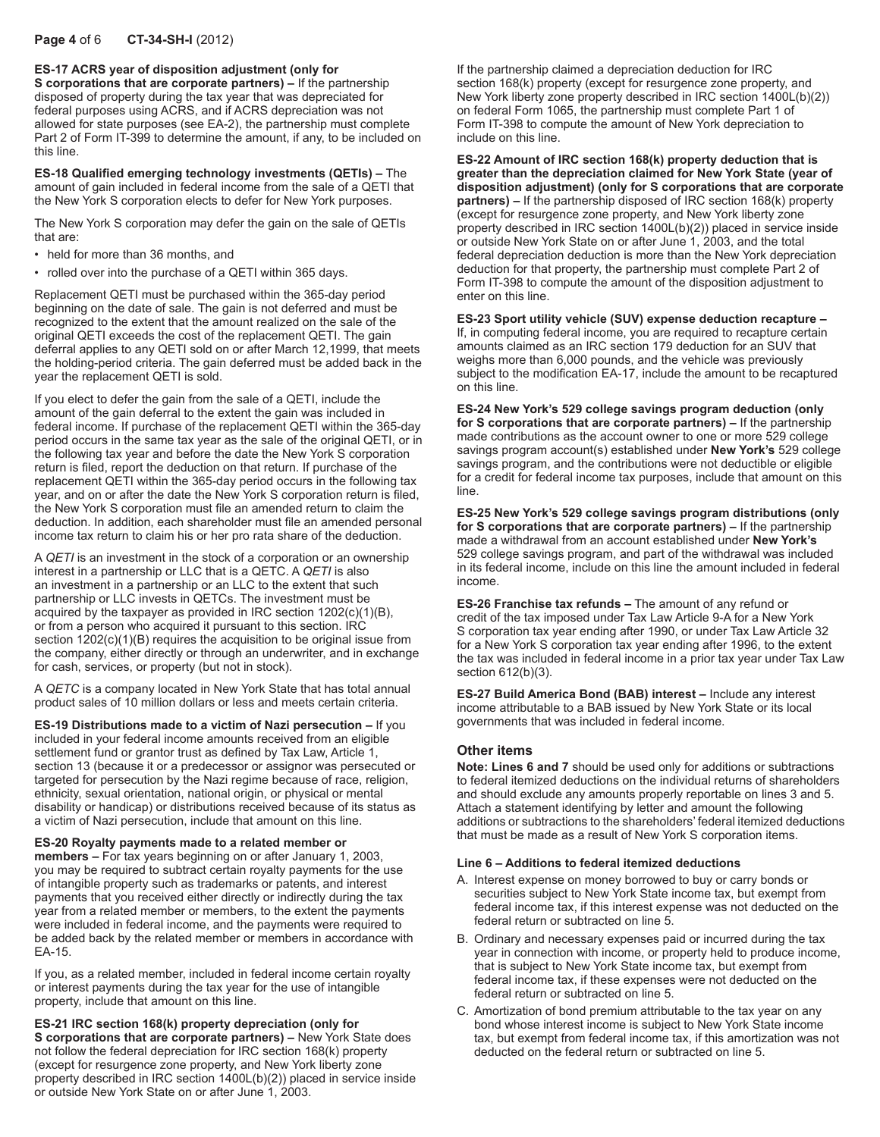**ES-17 ACRS year of disposition adjustment (only for** 

**S corporations that are corporate partners) –** If the partnership disposed of property during the tax year that was depreciated for federal purposes using ACRS, and if ACRS depreciation was not allowed for state purposes (see EA-2), the partnership must complete Part 2 of Form IT-399 to determine the amount, if any, to be included on this line.

**ES-18 Qualified emerging technology investments (QETIs) –** The amount of gain included in federal income from the sale of a QETI that the New York S corporation elects to defer for New York purposes.

The New York S corporation may defer the gain on the sale of QETIs that are:

- held for more than 36 months, and
- rolled over into the purchase of a QETI within 365 days.

Replacement QETI must be purchased within the 365-day period beginning on the date of sale. The gain is not deferred and must be recognized to the extent that the amount realized on the sale of the original QETI exceeds the cost of the replacement QETI. The gain deferral applies to any QETI sold on or after March 12,1999, that meets the holding-period criteria. The gain deferred must be added back in the year the replacement QETI is sold.

If you elect to defer the gain from the sale of a QETI, include the amount of the gain deferral to the extent the gain was included in federal income. If purchase of the replacement QETI within the 365-day period occurs in the same tax year as the sale of the original QETI, or in the following tax year and before the date the New York S corporation return is filed, report the deduction on that return. If purchase of the replacement QETI within the 365-day period occurs in the following tax year, and on or after the date the New York S corporation return is filed, the New York S corporation must file an amended return to claim the deduction. In addition, each shareholder must file an amended personal income tax return to claim his or her pro rata share of the deduction.

A *QETI* is an investment in the stock of a corporation or an ownership interest in a partnership or LLC that is a QETC. A *QETI* is also an investment in a partnership or an LLC to the extent that such partnership or LLC invests in QETCs. The investment must be acquired by the taxpayer as provided in IRC section 1202(c)(1)(B), or from a person who acquired it pursuant to this section. IRC section 1202(c)(1)(B) requires the acquisition to be original issue from the company, either directly or through an underwriter, and in exchange for cash, services, or property (but not in stock).

A *QETC* is a company located in New York State that has total annual product sales of 10 million dollars or less and meets certain criteria.

**ES-19 Distributions made to a victim of Nazi persecution –** If you included in your federal income amounts received from an eligible settlement fund or grantor trust as defined by Tax Law, Article 1, section 13 (because it or a predecessor or assignor was persecuted or targeted for persecution by the Nazi regime because of race, religion, ethnicity, sexual orientation, national origin, or physical or mental disability or handicap) or distributions received because of its status as a victim of Nazi persecution, include that amount on this line.

#### **ES-20 Royalty payments made to a related member or**

**members –** For tax years beginning on or after January 1, 2003, you may be required to subtract certain royalty payments for the use of intangible property such as trademarks or patents, and interest payments that you received either directly or indirectly during the tax year from a related member or members, to the extent the payments were included in federal income, and the payments were required to be added back by the related member or members in accordance with EA-15.

If you, as a related member, included in federal income certain royalty or interest payments during the tax year for the use of intangible property, include that amount on this line.

**ES-21 IRC section 168(k) property depreciation (only for S corporations that are corporate partners) –** New York State does not follow the federal depreciation for IRC section 168(k) property (except for resurgence zone property, and New York liberty zone property described in IRC section 1400L(b)(2)) placed in service inside or outside New York State on or after June 1, 2003.

If the partnership claimed a depreciation deduction for IRC section 168(k) property (except for resurgence zone property, and New York liberty zone property described in IRC section 1400L(b)(2)) on federal Form 1065, the partnership must complete Part 1 of Form IT-398 to compute the amount of New York depreciation to include on this line.

**ES-22 Amount of IRC section 168(k) property deduction that is greater than the depreciation claimed for New York State (year of disposition adjustment) (only for S corporations that are corporate partners) –** If the partnership disposed of IRC section 168(k) property (except for resurgence zone property, and New York liberty zone property described in IRC section 1400L(b)(2)) placed in service inside or outside New York State on or after June 1, 2003, and the total federal depreciation deduction is more than the New York depreciation deduction for that property, the partnership must complete Part 2 of Form IT-398 to compute the amount of the disposition adjustment to enter on this line.

**ES-23 Sport utility vehicle (SUV) expense deduction recapture –** If, in computing federal income, you are required to recapture certain amounts claimed as an IRC section 179 deduction for an SUV that weighs more than 6,000 pounds, and the vehicle was previously subject to the modification EA-17, include the amount to be recaptured on this line.

**ES-24 New York's 529 college savings program deduction (only for S corporations that are corporate partners) –** If the partnership made contributions as the account owner to one or more 529 college savings program account(s) established under **New York's** 529 college savings program, and the contributions were not deductible or eligible for a credit for federal income tax purposes, include that amount on this line.

**ES-25 New York's 529 college savings program distributions (only for S corporations that are corporate partners) –** If the partnership made a withdrawal from an account established under **New York's** 529 college savings program, and part of the withdrawal was included in its federal income, include on this line the amount included in federal income.

**ES-26 Franchise tax refunds –** The amount of any refund or credit of the tax imposed under Tax Law Article 9-A for a New York S corporation tax year ending after 1990, or under Tax Law Article 32 for a New York S corporation tax year ending after 1996, to the extent the tax was included in federal income in a prior tax year under Tax Law section 612(b)(3).

**ES-27 Build America Bond (BAB) interest –** Include any interest income attributable to a BAB issued by New York State or its local governments that was included in federal income.

#### **Other items**

**Note: Lines 6 and 7** should be used only for additions or subtractions to federal itemized deductions on the individual returns of shareholders and should exclude any amounts properly reportable on lines 3 and 5. Attach a statement identifying by letter and amount the following additions or subtractions to the shareholders' federal itemized deductions that must be made as a result of New York S corporation items.

#### **Line 6 – Additions to federal itemized deductions**

- A. Interest expense on money borrowed to buy or carry bonds or securities subject to New York State income tax, but exempt from federal income tax, if this interest expense was not deducted on the federal return or subtracted on line 5.
- B. Ordinary and necessary expenses paid or incurred during the tax year in connection with income, or property held to produce income, that is subject to New York State income tax, but exempt from federal income tax, if these expenses were not deducted on the federal return or subtracted on line 5.
- C. Amortization of bond premium attributable to the tax year on any bond whose interest income is subject to New York State income tax, but exempt from federal income tax, if this amortization was not deducted on the federal return or subtracted on line 5.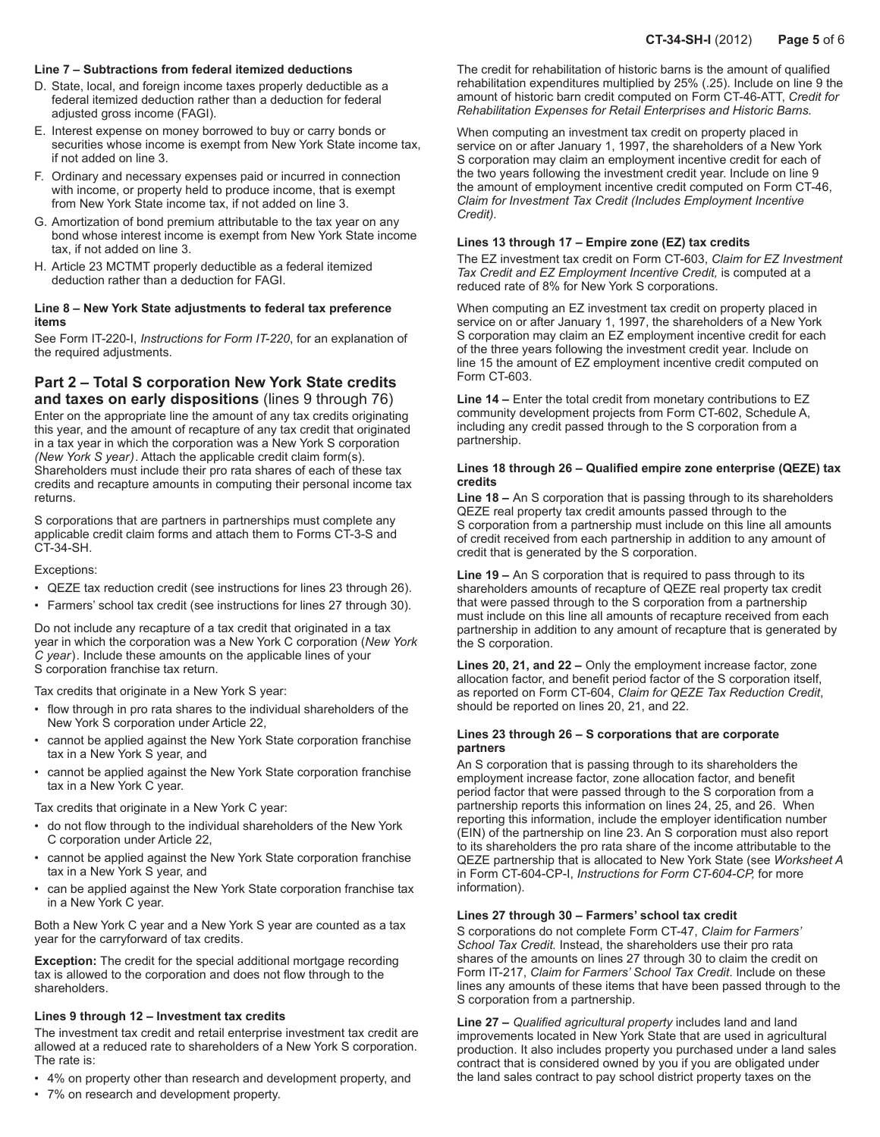#### **Line 7 – Subtractions from federal itemized deductions**

- D. State, local, and foreign income taxes properly deductible as a federal itemized deduction rather than a deduction for federal adjusted gross income (FAGI).
- E. Interest expense on money borrowed to buy or carry bonds or securities whose income is exempt from New York State income tax, if not added on line 3.
- F. Ordinary and necessary expenses paid or incurred in connection with income, or property held to produce income, that is exempt from New York State income tax, if not added on line 3.
- G. Amortization of bond premium attributable to the tax year on any bond whose interest income is exempt from New York State income tax, if not added on line 3.
- H. Article 23 MCTMT properly deductible as a federal itemized deduction rather than a deduction for FAGI.

#### **Line 8 – New York State adjustments to federal tax preference items**

See Form IT-220-I, *Instructions for Form IT-220*, for an explanation of the required adjustments.

## **Part 2 – Total S corporation New York State credits and taxes on early dispositions** (lines 9 through 76)

Enter on the appropriate line the amount of any tax credits originating this year, and the amount of recapture of any tax credit that originated in a tax year in which the corporation was a New York S corporation *(New York S year)*. Attach the applicable credit claim form(s). Shareholders must include their pro rata shares of each of these tax credits and recapture amounts in computing their personal income tax returns.

S corporations that are partners in partnerships must complete any applicable credit claim forms and attach them to Forms CT-3-S and CT-34-SH.

#### Exceptions:

- QEZE tax reduction credit (see instructions for lines 23 through 26).
- Farmers' school tax credit (see instructions for lines 27 through 30).

Do not include any recapture of a tax credit that originated in a tax year in which the corporation was a New York C corporation (*New York C year*). Include these amounts on the applicable lines of your S corporation franchise tax return.

Tax credits that originate in a New York S year:

- flow through in pro rata shares to the individual shareholders of the New York S corporation under Article 22,
- cannot be applied against the New York State corporation franchise tax in a New York S year, and
- cannot be applied against the New York State corporation franchise tax in a New York C year.

Tax credits that originate in a New York C year:

- do not flow through to the individual shareholders of the New York C corporation under Article 22,
- cannot be applied against the New York State corporation franchise tax in a New York S year, and
- can be applied against the New York State corporation franchise tax in a New York C year.

Both a New York C year and a New York S year are counted as a tax year for the carryforward of tax credits.

**Exception:** The credit for the special additional mortgage recording tax is allowed to the corporation and does not flow through to the shareholders.

#### **Lines 9 through 12 – Investment tax credits**

The investment tax credit and retail enterprise investment tax credit are allowed at a reduced rate to shareholders of a New York S corporation. The rate is:

- 4% on property other than research and development property, and
- 7% on research and development property.

The credit for rehabilitation of historic barns is the amount of qualified rehabilitation expenditures multiplied by 25% (.25). Include on line 9 the amount of historic barn credit computed on Form CT‑46‑ATT, *Credit for Rehabilitation Expenses for Retail Enterprises and Historic Barns.*

When computing an investment tax credit on property placed in service on or after January 1, 1997, the shareholders of a New York S corporation may claim an employment incentive credit for each of the two years following the investment credit year. Include on line 9 the amount of employment incentive credit computed on Form CT-46, *Claim for Investment Tax Credit (Includes Employment Incentive Credit).*

#### **Lines 13 through 17 – Empire zone (EZ) tax credits**

The EZ investment tax credit on Form CT-603, *Claim for EZ Investment*  Tax Credit and EZ Employment Incentive Credit, is computed at a reduced rate of 8% for New York S corporations.

When computing an EZ investment tax credit on property placed in service on or after January 1, 1997, the shareholders of a New York S corporation may claim an EZ employment incentive credit for each of the three years following the investment credit year. Include on line 15 the amount of EZ employment incentive credit computed on Form CT-603.

**Line 14 –** Enter the total credit from monetary contributions to EZ community development projects from Form CT-602, Schedule A, including any credit passed through to the S corporation from a partnership.

#### **Lines 18 through 26 – Qualified empire zone enterprise (QEZE) tax credits**

**Line 18 –** An S corporation that is passing through to its shareholders QEZE real property tax credit amounts passed through to the S corporation from a partnership must include on this line all amounts of credit received from each partnership in addition to any amount of credit that is generated by the S corporation.

**Line 19 –** An S corporation that is required to pass through to its shareholders amounts of recapture of QEZE real property tax credit that were passed through to the S corporation from a partnership must include on this line all amounts of recapture received from each partnership in addition to any amount of recapture that is generated by the S corporation.

**Lines 20, 21, and 22 –** Only the employment increase factor, zone allocation factor, and benefit period factor of the S corporation itself, as reported on Form CT-604, *Claim for QEZE Tax Reduction Credit*, should be reported on lines 20, 21, and 22.

#### **Lines 23 through 26 – S corporations that are corporate partners**

An S corporation that is passing through to its shareholders the employment increase factor, zone allocation factor, and benefit period factor that were passed through to the S corporation from a partnership reports this information on lines 24, 25, and 26. When reporting this information, include the employer identification number (EIN) of the partnership on line 23. An S corporation must also report to its shareholders the pro rata share of the income attributable to the QEZE partnership that is allocated to New York State (see *Worksheet A* in Form CT-604-CP-I, *Instructions for Form CT-604-CP,* for more information).

#### **Lines 27 through 30 – Farmers' school tax credit**

S corporations do not complete Form CT-47, *Claim for Farmers' School Tax Credit.* Instead, the shareholders use their pro rata shares of the amounts on lines 27 through 30 to claim the credit on Form IT-217, *Claim for Farmers' School Tax Credit*. Include on these lines any amounts of these items that have been passed through to the S corporation from a partnership.

**Line 27 –** *Qualified agricultural property* includes land and land improvements located in New York State that are used in agricultural production. It also includes property you purchased under a land sales contract that is considered owned by you if you are obligated under the land sales contract to pay school district property taxes on the